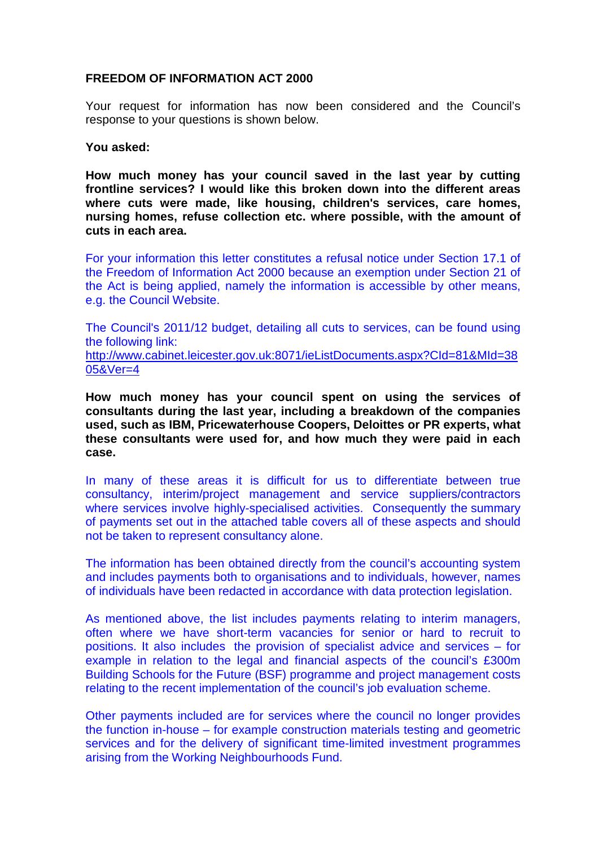## **FREEDOM OF INFORMATION ACT 2000**

Your request for information has now been considered and the Council's response to your questions is shown below.

## **You asked:**

**How much money has your council saved in the last year by cutting frontline services? I would like this broken down into the different areas where cuts were made, like housing, children's services, care homes, nursing homes, refuse collection etc. where possible, with the amount of cuts in each area.**

For your information this letter constitutes a refusal notice under Section 17.1 of the Freedom of Information Act 2000 because an exemption under Section 21 of the Act is being applied, namely the information is accessible by other means, e.g. the Council Website.

The Council's 2011/12 budget, detailing all cuts to services, can be found using the following link: [http://www.cabinet.leicester.gov.uk:8071/ieListDocuments.aspx?CId=81&MId=38](http://www.cabinet.leicester.gov.uk:8071/ieListDocuments.aspx?CId=81&MId=3805&Ver=4) [05&Ver=4](http://www.cabinet.leicester.gov.uk:8071/ieListDocuments.aspx?CId=81&MId=3805&Ver=4)

**How much money has your council spent on using the services of consultants during the last year, including a breakdown of the companies used, such as IBM, Pricewaterhouse Coopers, Deloittes or PR experts, what these consultants were used for, and how much they were paid in each case.**

In many of these areas it is difficult for us to differentiate between true consultancy, interim/project management and service suppliers/contractors where services involve highly-specialised activities. Consequently the summary of payments set out in the attached table covers all of these aspects and should not be taken to represent consultancy alone.

The information has been obtained directly from the council's accounting system and includes payments both to organisations and to individuals, however, names of individuals have been redacted in accordance with data protection legislation.

As mentioned above, the list includes payments relating to interim managers, often where we have short-term vacancies for senior or hard to recruit to positions. It also includes the provision of specialist advice and services – for example in relation to the legal and financial aspects of the council's £300m Building Schools for the Future (BSF) programme and project management costs relating to the recent implementation of the council's job evaluation scheme.

Other payments included are for services where the council no longer provides the function in-house – for example construction materials testing and geometric services and for the delivery of significant time-limited investment programmes arising from the Working Neighbourhoods Fund.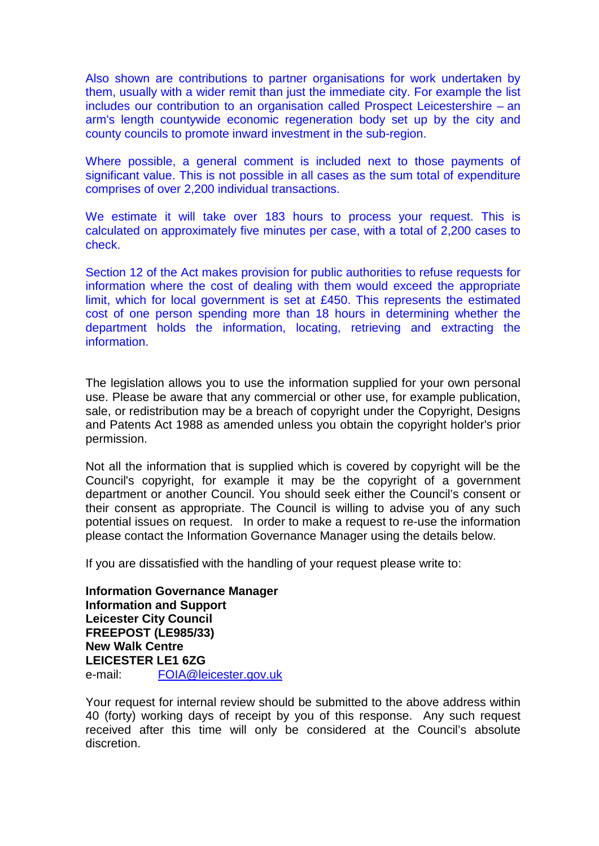Also shown are contributions to partner organisations for work undertaken by them, usually with a wider remit than just the immediate city. For example the list includes our contribution to an organisation called Prospect Leicestershire – an arm's length countywide economic regeneration body set up by the city and county councils to promote inward investment in the sub-region.

Where possible, a general comment is included next to those payments of significant value. This is not possible in all cases as the sum total of expenditure comprises of over 2,200 individual transactions.

We estimate it will take over 183 hours to process your request. This is calculated on approximately five minutes per case, with a total of 2,200 cases to check.

Section 12 of the Act makes provision for public authorities to refuse requests for information where the cost of dealing with them would exceed the appropriate limit, which for local government is set at £450. This represents the estimated cost of one person spending more than 18 hours in determining whether the department holds the information, locating, retrieving and extracting the information.

The legislation allows you to use the information supplied for your own personal use. Please be aware that any commercial or other use, for example publication, sale, or redistribution may be a breach of copyright under the Copyright, Designs and Patents Act 1988 as amended unless you obtain the copyright holder's prior permission.

Not all the information that is supplied which is covered by copyright will be the Council's copyright, for example it may be the copyright of a government department or another Council. You should seek either the Council's consent or their consent as appropriate. The Council is willing to advise you of any such potential issues on request. In order to make a request to re-use the information please contact the Information Governance Manager using the details below.

If you are dissatisfied with the handling of your request please write to:

**Information Governance Manager Information and Support Leicester City Council FREEPOST (LE985/33) New Walk Centre LEICESTER LE1 6ZG**  e-mail: FOIA@leicester.gov.uk

Your request for internal review should be submitted to the above address within 40 (forty) working days of receipt by you of this response. Any such request received after this time will only be considered at the Council's absolute discretion.